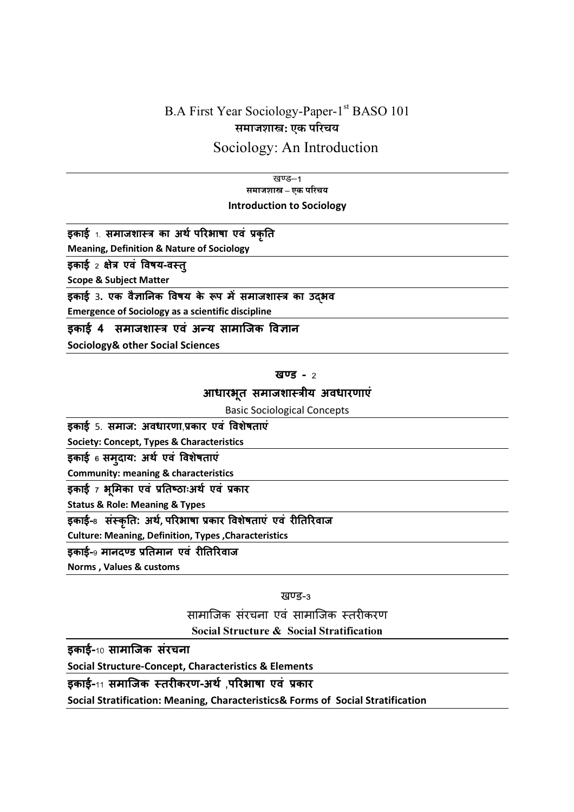# B.A First Year Sociology-Paper-1<sup>st</sup> BASO 101 समाजशास्त्र: एक परिचय

## Sociology: An Introduction

खण्ड-1 समाजशास्त्र – एक परिचय Introduction to Sociology

इकाई 1. समाजशास्त्र का अर्थ परिभाषा एवं प्रकृति

Meaning, Definition & Nature of Sociology

इकाई 2 क्षेत्र एवं विषय-वस्तु

Scope & Subject Matter

इकाई 3. एक वैज्ञानिक विषय के रूप में समाजशास्त्र का उदभव

Emergence of Sociology as a scientific discipline

### इकाई 4 समाजशास्त्र एवं अन्य सामाजिक विज्ञान

Sociology& other Social Sciences

#### खण्ड $-2$

### आधारभूत समाजशास्त्रीय अवधारणाएं

Basic Sociological Concepts

इकाई 5. समाज: अवधारणा,कार एवं वशेषताएं

Society: Concept, Types & Characteristics

इकाई 6 समुदाय: अथ एवं वशेषताएं

Community: meaning & characteristics

इकाई 7 <mark>भू</mark>मिका एवं प्रतिष्ठाःअर्थ एवं प्रकार

Status & Role: Meaning & Types

इकाई-<sub>8</sub> संस्कृति: अर्थ, परिभाषा प्रकार विशेषताएं एवं रीतिरिवाज

Culture: Meaning, Definition, Types ,Characteristics

इकाई-9 मानदण्ड प्रतिमान एवं रीतिरिवाज

Norms , Values & customs

खण्ड-3

सामाजिक संरचना एवं सामाजिक स्तरीकरण Social Structure & Social Stratification

इकाई-10 सामािजक संरचना

Social Structure-Concept, Characteristics & Elements

इकाई-11 समािजक तरकरण-अथ,परभाषा एवं "कार

Social Stratification: Meaning, Characteristics& Forms of Social Stratification